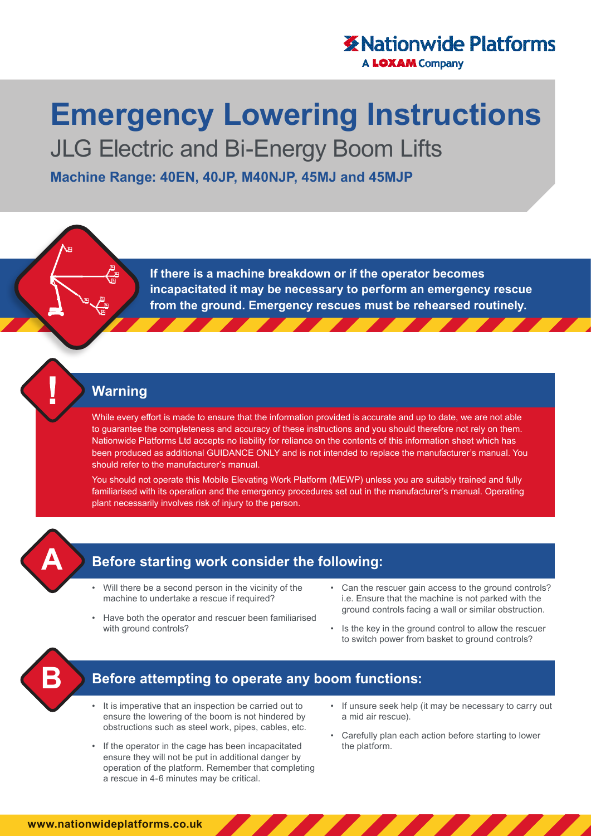## **X** Nationwide Platforms **A LOXAM Company**

# **Emergency Lowering Instructions**

JLG Electric and Bi-Energy Boom Lifts

**Machine Range: 40EN, 40JP, M40NJP, 45MJ and 45MJP**

**If there is a machine breakdown or if the operator becomes incapacitated it may be necessary to perform an emergency rescue from the ground. Emergency rescues must be rehearsed routinely.**

#### **Warning**

While every effort is made to ensure that the information provided is accurate and up to date, we are not able to guarantee the completeness and accuracy of these instructions and you should therefore not rely on them. Nationwide Platforms Ltd accepts no liability for reliance on the contents of this information sheet which has been produced as additional GUIDANCE ONLY and is not intended to replace the manufacturer's manual. You should refer to the manufacturer's manual.

You should not operate this Mobile Elevating Work Platform (MEWP) unless you are suitably trained and fully familiarised with its operation and the emergency procedures set out in the manufacturer's manual. Operating plant necessarily involves risk of injury to the person.



# **Before starting work consider the following:**

- Will there be a second person in the vicinity of the machine to undertake a rescue if required?
- Have both the operator and rescuer been familiarised with ground controls?
- Can the rescuer gain access to the ground controls? i.e. Ensure that the machine is not parked with the ground controls facing a wall or similar obstruction.
- Is the key in the ground control to allow the rescuer to switch power from basket to ground controls?



## **Before attempting to operate any boom functions:**

- It is imperative that an inspection be carried out to ensure the lowering of the boom is not hindered by obstructions such as steel work, pipes, cables, etc.
- If the operator in the cage has been incapacitated ensure they will not be put in additional danger by operation of the platform. Remember that completing a rescue in 4-6 minutes may be critical.
- If unsure seek help (it may be necessary to carry out a mid air rescue).
- Carefully plan each action before starting to lower the platform.